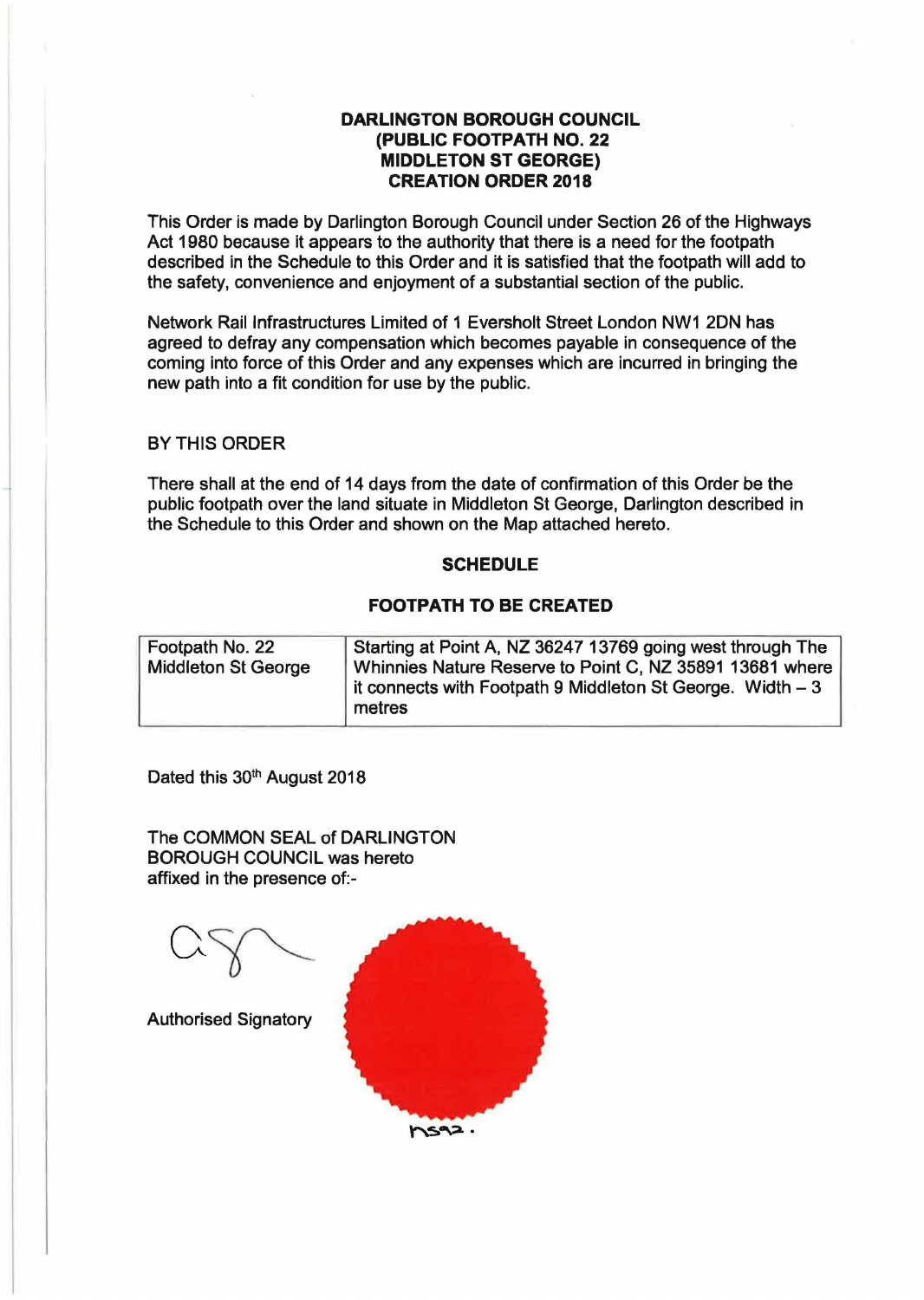## **DARLINGTON BOROUGH COUNCIL (PUBLIC FOOTPATH NO. 22 MIDDLETON ST GEORGE) CREATION ORDER 2018**

This Order is made by Darlington Borough Council under Section 26 of the Highways Act 1980 because it appears to the authority that there is a need for the footpath described in the Schedule to this Order and it is satisfied that the footpath will add to the safety, convenience and enjoyment of a substantial section of the public.

Network Rail Infrastructures Limited of 1 Eversholt Street London NW1 2DN has agreed to defray any compensation which becomes payable in consequence of the coming into force of this Order and any expenses which are incurred in bringing the new path into a fit condition for use by the public.

## BY THIS ORDER

There shall at the end of 14 days from the date of confirmation of this Order be the public footpath over the land situate in Middleton St George, Darlington described in the Schedule to this Order and shown on the Map attached hereto.

## **SCHEDULE**

## **FOOTPATH TO BE CREATED**

| Footpath No. 22            | Starting at Point A, NZ 36247 13769 going west through The  |
|----------------------------|-------------------------------------------------------------|
|                            |                                                             |
| <b>Middleton St George</b> | Whinnies Nature Reserve to Point C, NZ 35891 13681 where    |
|                            | it connects with Footpath 9 Middleton St George. Width $-3$ |
|                            | metres                                                      |
|                            |                                                             |

Dated this 30<sup>th</sup> August 2018

The COMMON SEAL of DARLINGTON BOROUGH COUNCIL was hereto affixed in the presence of:-

Authorised Signatory **hs92.**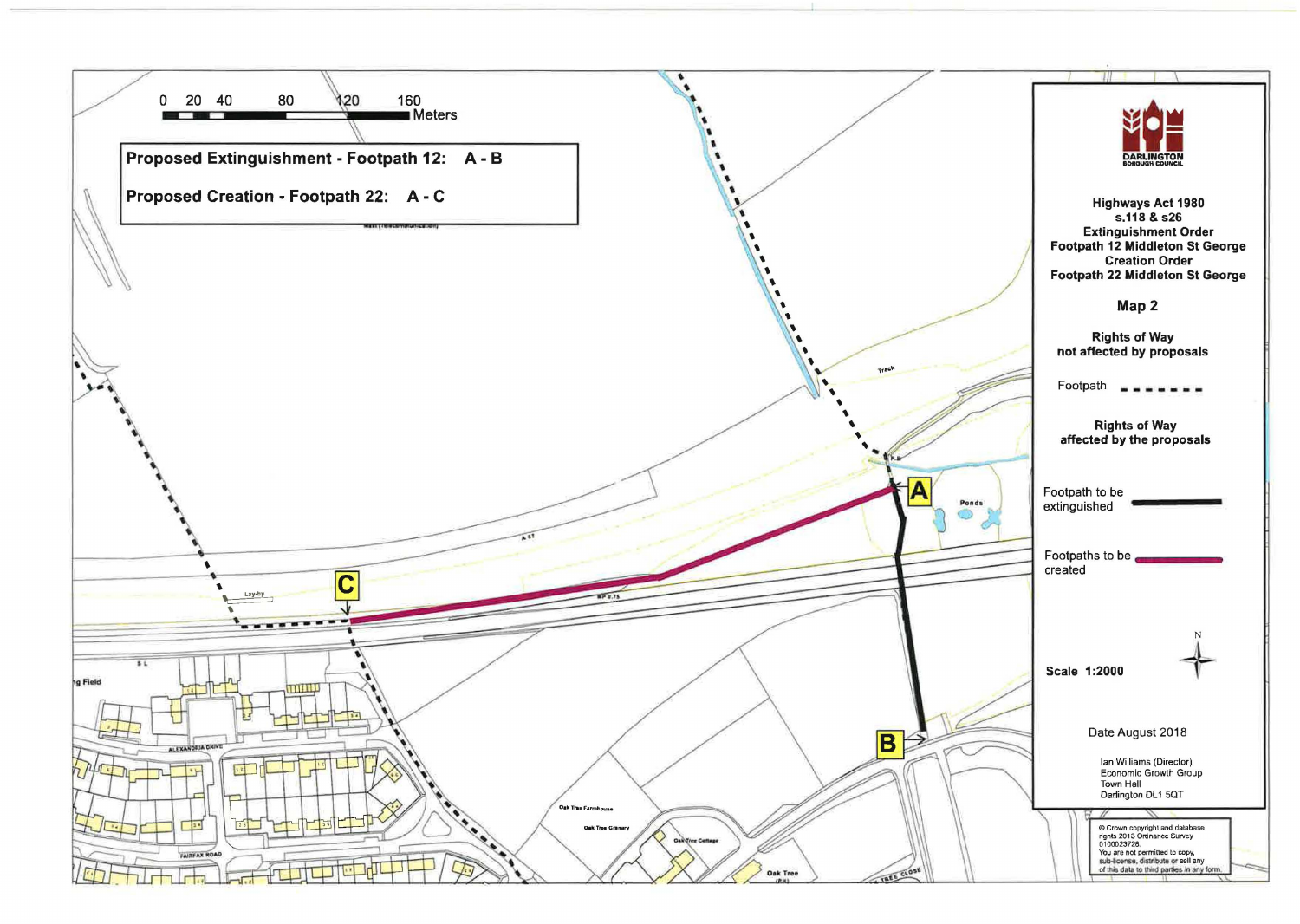